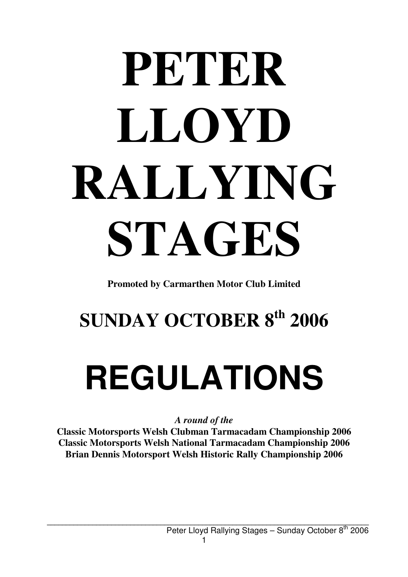# **PETER LLOYD RALLYING STAGES**

**Promoted by Carmarthen Motor Club Limited**

### **SUNDAY OCTOBER 8th 2006**

## **REGULATIONS**

*A round of the* 

**Classic Motorsports Welsh Clubman Tarmacadam Championship 2006 Classic Motorsports Welsh National Tarmacadam Championship 2006 Brian Dennis Motorsport Welsh Historic Rally Championship 2006**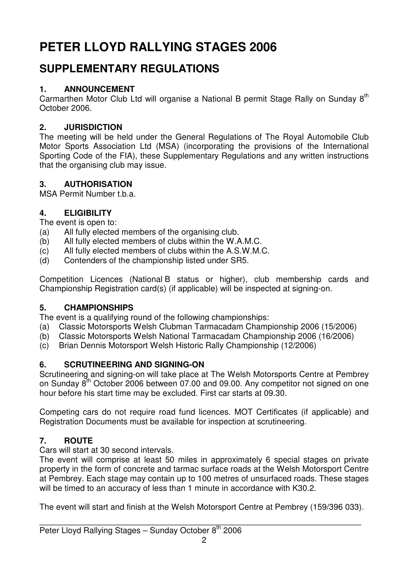#### **PETER LLOYD RALLYING STAGES 2006**

#### **SUPPLEMENTARY REGULATIONS**

#### **1. ANNOUNCEMENT**

Carmarthen Motor Club Ltd will organise a National B permit Stage Rally on Sunday 8<sup>th</sup> October 2006.

#### **2. JURISDICTION**

The meeting will be held under the General Regulations of The Royal Automobile Club Motor Sports Association Ltd (MSA) (incorporating the provisions of the International Sporting Code of the FIA), these Supplementary Regulations and any written instructions that the organising club may issue.

#### **3. AUTHORISATION**

MSA Permit Number t.b.a.

#### **4. ELIGIBILITY**

The event is open to:

- (a) All fully elected members of the organising club.
- (b) All fully elected members of clubs within the W.A.M.C.
- (c) All fully elected members of clubs within the A.S.W.M.C.
- (d) Contenders of the championship listed under SR5.

Competition Licences (National B status or higher), club membership cards and Championship Registration card(s) (if applicable) will be inspected at signing-on.

#### **5. CHAMPIONSHIPS**

The event is a qualifying round of the following championships:

- (a) Classic Motorsports Welsh Clubman Tarmacadam Championship 2006 (15/2006)
- (b) Classic Motorsports Welsh National Tarmacadam Championship 2006 (16/2006)
- (c) Brian Dennis Motorsport Welsh Historic Rally Championship (12/2006)

#### **6. SCRUTINEERING AND SIGNING-ON**

Scrutineering and signing-on will take place at The Welsh Motorsports Centre at Pembrey on Sunday  $8<sup>th</sup>$  October 2006 between 07.00 and 09.00. Any competitor not signed on one hour before his start time may be excluded. First car starts at 09.30.

Competing cars do not require road fund licences. MOT Certificates (if applicable) and Registration Documents must be available for inspection at scrutineering.

#### **7. ROUTE**

Cars will start at 30 second intervals.

The event will comprise at least 50 miles in approximately 6 special stages on private property in the form of concrete and tarmac surface roads at the Welsh Motorsport Centre at Pembrey. Each stage may contain up to 100 metres of unsurfaced roads. These stages will be timed to an accuracy of less than 1 minute in accordance with K30.2.

The event will start and finish at the Welsh Motorsport Centre at Pembrey (159/396 033).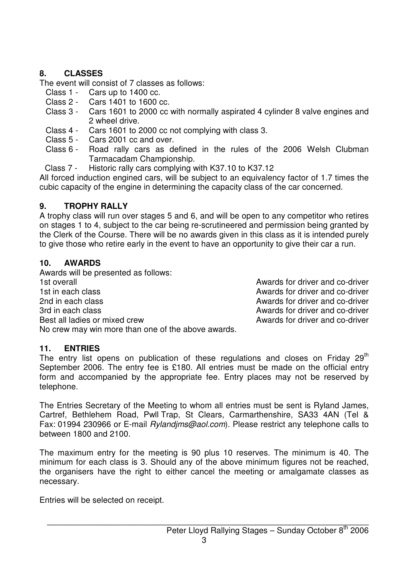#### **8. CLASSES**

The event will consist of 7 classes as follows:

- Class 1 Cars up to 1400 cc.
- Class 2 Cars 1401 to 1600 cc.<br>Class 3 Cars 1601 to 2000 cc v
- Cars 1601 to 2000 cc with normally aspirated 4 cylinder 8 valve engines and 2 wheel drive.
- Class 4 Cars 1601 to 2000 cc not complying with class 3.
- Class 5 Cars 2001 cc and over.
- Class 6 Road rally cars as defined in the rules of the 2006 Welsh Clubman Tarmacadam Championship.
- Class 7 Historic rally cars complying with K37.10 to K37.12

All forced induction engined cars, will be subject to an equivalency factor of 1.7 times the cubic capacity of the engine in determining the capacity class of the car concerned.

#### **9. TROPHY RALLY**

A trophy class will run over stages 5 and 6, and will be open to any competitor who retires on stages 1 to 4, subject to the car being re-scrutineered and permission being granted by the Clerk of the Course. There will be no awards given in this class as it is intended purely to give those who retire early in the event to have an opportunity to give their car a run.

#### **10. AWARDS**

Awards will be presented as follows: 1st overall **1st overall** Awards for driver and co-driver 1st in each class **Awards** for driver and co-driver 2nd in each class **Awards for driver and co-driver** 2nd in each other and co-driver 3rd in each class and co-driver and co-driver and co-driver Best all ladies or mixed crew and co-driver and co-driver No crew may win more than one of the above awards.

#### **11. ENTRIES**

The entry list opens on publication of these regulations and closes on Friday  $29<sup>th</sup>$ September 2006. The entry fee is £180. All entries must be made on the official entry form and accompanied by the appropriate fee. Entry places may not be reserved by telephone.

The Entries Secretary of the Meeting to whom all entries must be sent is Ryland James, Cartref, Bethlehem Road, Pwll Trap, St Clears, Carmarthenshire, SA33 4AN (Tel & Fax: 01994 230966 or E-mail Rylandjms@aol.com). Please restrict any telephone calls to between 1800 and 2100.

The maximum entry for the meeting is 90 plus 10 reserves. The minimum is 40. The minimum for each class is 3. Should any of the above minimum figures not be reached, the organisers have the right to either cancel the meeting or amalgamate classes as necessary.

Entries will be selected on receipt.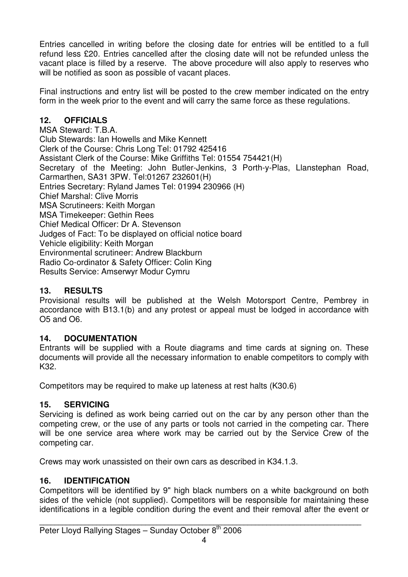Entries cancelled in writing before the closing date for entries will be entitled to a full refund less £20. Entries cancelled after the closing date will not be refunded unless the vacant place is filled by a reserve. The above procedure will also apply to reserves who will be notified as soon as possible of vacant places.

Final instructions and entry list will be posted to the crew member indicated on the entry form in the week prior to the event and will carry the same force as these regulations.

#### **12. OFFICIALS**

MSA Steward: T.B.A. Club Stewards: Ian Howells and Mike Kennett Clerk of the Course: Chris Long Tel: 01792 425416 Assistant Clerk of the Course: Mike Griffiths Tel: 01554 754421(H) Secretary of the Meeting: John Butler-Jenkins, 3 Porth-y-Plas, Llanstephan Road, Carmarthen, SA31 3PW. Tel:01267 232601(H) Entries Secretary: Ryland James Tel: 01994 230966 (H) Chief Marshal: Clive Morris MSA Scrutineers: Keith Morgan MSA Timekeeper: Gethin Rees Chief Medical Officer: Dr A. Stevenson Judges of Fact: To be displayed on official notice board Vehicle eligibility: Keith Morgan Environmental scrutineer: Andrew Blackburn Radio Co-ordinator & Safety Officer: Colin King Results Service: Amserwyr Modur Cymru

#### **13. RESULTS**

Provisional results will be published at the Welsh Motorsport Centre, Pembrey in accordance with B13.1(b) and any protest or appeal must be lodged in accordance with O5 and O6.

#### **14. DOCUMENTATION**

Entrants will be supplied with a Route diagrams and time cards at signing on. These documents will provide all the necessary information to enable competitors to comply with K32.

Competitors may be required to make up lateness at rest halts (K30.6)

#### **15. SERVICING**

Servicing is defined as work being carried out on the car by any person other than the competing crew, or the use of any parts or tools not carried in the competing car. There will be one service area where work may be carried out by the Service Crew of the competing car.

Crews may work unassisted on their own cars as described in K34.1.3.

#### **16. IDENTIFICATION**

Competitors will be identified by 9" high black numbers on a white background on both sides of the vehicle (not supplied). Competitors will be responsible for maintaining these identifications in a legible condition during the event and their removal after the event or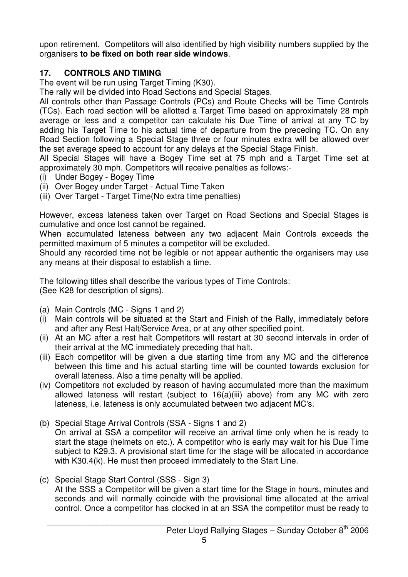upon retirement. Competitors will also identified by high visibility numbers supplied by the organisers **to be fixed on both rear side windows**.

#### **17. CONTROLS AND TIMING**

The event will be run using Target Timing (K30).

The rally will be divided into Road Sections and Special Stages.

All controls other than Passage Controls (PCs) and Route Checks will be Time Controls (TCs). Each road section will be allotted a Target Time based on approximately 28 mph average or less and a competitor can calculate his Due Time of arrival at any TC by adding his Target Time to his actual time of departure from the preceding TC. On any Road Section following a Special Stage three or four minutes extra will be allowed over the set average speed to account for any delays at the Special Stage Finish.

All Special Stages will have a Bogey Time set at 75 mph and a Target Time set at approximately 30 mph. Competitors will receive penalties as follows:-

- (i) Under Bogey Bogey Time
- (ii) Over Bogey under Target Actual Time Taken
- (iii) Over Target Target Time(No extra time penalties)

However, excess lateness taken over Target on Road Sections and Special Stages is cumulative and once lost cannot be regained.

When accumulated lateness between any two adjacent Main Controls exceeds the permitted maximum of 5 minutes a competitor will be excluded.

Should any recorded time not be legible or not appear authentic the organisers may use any means at their disposal to establish a time.

The following titles shall describe the various types of Time Controls: (See K28 for description of signs).

- (a) Main Controls (MC Signs 1 and 2)
- (i) Main controls will be situated at the Start and Finish of the Rally, immediately before and after any Rest Halt/Service Area, or at any other specified point.
- (ii) At an MC after a rest halt Competitors will restart at 30 second intervals in order of their arrival at the MC immediately preceding that halt.
- (iii) Each competitor will be given a due starting time from any MC and the difference between this time and his actual starting time will be counted towards exclusion for overall lateness. Also a time penalty will be applied.
- (iv) Competitors not excluded by reason of having accumulated more than the maximum allowed lateness will restart (subject to 16(a)(iii) above) from any MC with zero lateness, i.e. lateness is only accumulated between two adjacent MC's.
- (b) Special Stage Arrival Controls (SSA Signs 1 and 2) On arrival at SSA a competitor will receive an arrival time only when he is ready to start the stage (helmets on etc.). A competitor who is early may wait for his Due Time subject to K29.3. A provisional start time for the stage will be allocated in accordance with K30.4(k). He must then proceed immediately to the Start Line.
- (c) Special Stage Start Control (SSS Sign 3) At the SSS a Competitor will be given a start time for the Stage in hours, minutes and seconds and will normally coincide with the provisional time allocated at the arrival control. Once a competitor has clocked in at an SSA the competitor must be ready to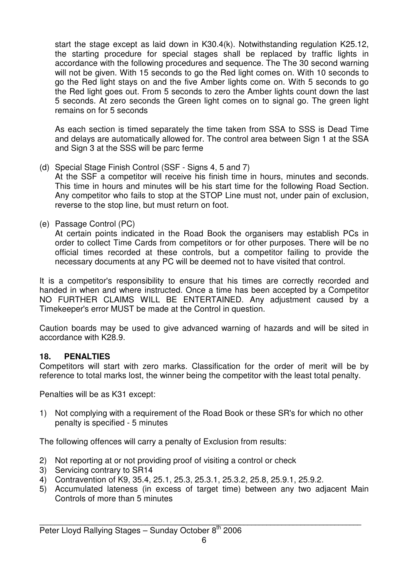start the stage except as laid down in K30.4(k). Notwithstanding regulation K25.12, the starting procedure for special stages shall be replaced by traffic lights in accordance with the following procedures and sequence. The The 30 second warning will not be given. With 15 seconds to go the Red light comes on. With 10 seconds to go the Red light stays on and the five Amber lights come on. With 5 seconds to go the Red light goes out. From 5 seconds to zero the Amber lights count down the last 5 seconds. At zero seconds the Green light comes on to signal go. The green light remains on for 5 seconds

 As each section is timed separately the time taken from SSA to SSS is Dead Time and delays are automatically allowed for. The control area between Sign 1 at the SSA and Sign 3 at the SSS will be parc ferme

(d) Special Stage Finish Control (SSF - Signs 4, 5 and 7)

 At the SSF a competitor will receive his finish time in hours, minutes and seconds. This time in hours and minutes will be his start time for the following Road Section. Any competitor who fails to stop at the STOP Line must not, under pain of exclusion, reverse to the stop line, but must return on foot.

(e) Passage Control (PC)

 At certain points indicated in the Road Book the organisers may establish PCs in order to collect Time Cards from competitors or for other purposes. There will be no official times recorded at these controls, but a competitor failing to provide the necessary documents at any PC will be deemed not to have visited that control.

It is a competitor's responsibility to ensure that his times are correctly recorded and handed in when and where instructed. Once a time has been accepted by a Competitor NO FURTHER CLAIMS WILL BE ENTERTAINED. Any adjustment caused by a Timekeeper's error MUST be made at the Control in question.

Caution boards may be used to give advanced warning of hazards and will be sited in accordance with K28.9.

#### **18. PENALTIES**

Competitors will start with zero marks. Classification for the order of merit will be by reference to total marks lost, the winner being the competitor with the least total penalty.

Penalties will be as K31 except:

1) Not complying with a requirement of the Road Book or these SR's for which no other penalty is specified - 5 minutes

The following offences will carry a penalty of Exclusion from results:

- 2) Not reporting at or not providing proof of visiting a control or check
- 3) Servicing contrary to SR14
- 4) Contravention of K9, 35.4, 25.1, 25.3, 25.3.1, 25.3.2, 25.8, 25.9.1, 25.9.2.
- 5) Accumulated lateness (in excess of target time) between any two adjacent Main Controls of more than 5 minutes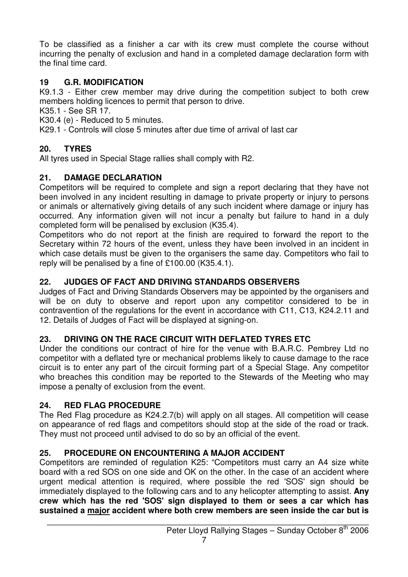To be classified as a finisher a car with its crew must complete the course without incurring the penalty of exclusion and hand in a completed damage declaration form with the final time card.

#### **19 G.R. MODIFICATION**

K9.1.3 - Either crew member may drive during the competition subject to both crew members holding licences to permit that person to drive.

K35.1 - See SR 17.

K30.4 (e) - Reduced to 5 minutes.

K29.1 - Controls will close 5 minutes after due time of arrival of last car

#### **20. TYRES**

All tyres used in Special Stage rallies shall comply with R2.

#### **21. DAMAGE DECLARATION**

Competitors will be required to complete and sign a report declaring that they have not been involved in any incident resulting in damage to private property or injury to persons or animals or alternatively giving details of any such incident where damage or injury has occurred. Any information given will not incur a penalty but failure to hand in a duly completed form will be penalised by exclusion (K35.4).

Competitors who do not report at the finish are required to forward the report to the Secretary within 72 hours of the event, unless they have been involved in an incident in which case details must be given to the organisers the same day. Competitors who fail to reply will be penalised by a fine of £100.00 (K35.4.1).

#### **22. JUDGES OF FACT AND DRIVING STANDARDS OBSERVERS**

Judges of Fact and Driving Standards Observers may be appointed by the organisers and will be on duty to observe and report upon any competitor considered to be in contravention of the regulations for the event in accordance with C11, C13, K24.2.11 and 12. Details of Judges of Fact will be displayed at signing-on.

#### **23. DRIVING ON THE RACE CIRCUIT WITH DEFLATED TYRES ETC**

Under the conditions our contract of hire for the venue with B.A.R.C. Pembrey Ltd no competitor with a deflated tyre or mechanical problems likely to cause damage to the race circuit is to enter any part of the circuit forming part of a Special Stage. Any competitor who breaches this condition may be reported to the Stewards of the Meeting who may impose a penalty of exclusion from the event.

#### **24. RED FLAG PROCEDURE**

The Red Flag procedure as K24.2.7(b) will apply on all stages. All competition will cease on appearance of red flags and competitors should stop at the side of the road or track. They must not proceed until advised to do so by an official of the event.

#### **25. PROCEDURE ON ENCOUNTERING A MAJOR ACCIDENT**

Competitors are reminded of regulation K25: "Competitors must carry an A4 size white board with a red SOS on one side and OK on the other. In the case of an accident where urgent medical attention is required, where possible the red 'SOS' sign should be immediately displayed to the following cars and to any helicopter attempting to assist. **Any crew which has the red 'SOS' sign displayed to them or sees a car which has sustained a major accident where both crew members are seen inside the car but is**